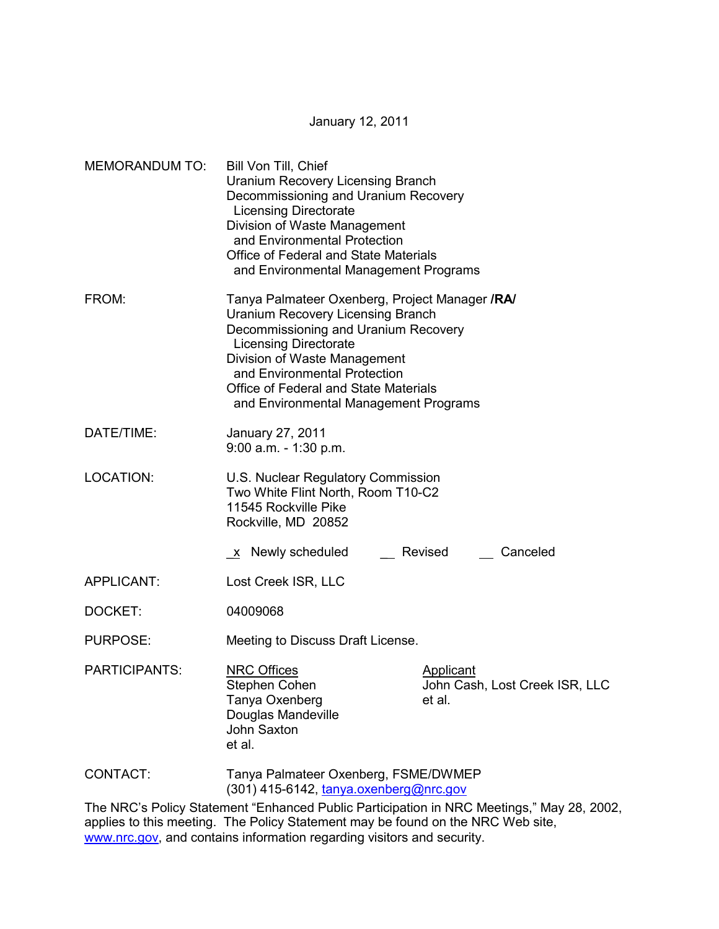January 12, 2011

| <b>MEMORANDUM TO:</b> | Bill Von Till, Chief<br><b>Uranium Recovery Licensing Branch</b><br>Decommissioning and Uranium Recovery<br><b>Licensing Directorate</b><br>Division of Waste Management<br>and Environmental Protection<br>Office of Federal and State Materials<br>and Environmental Management Programs                           |                                                                                         |  |
|-----------------------|----------------------------------------------------------------------------------------------------------------------------------------------------------------------------------------------------------------------------------------------------------------------------------------------------------------------|-----------------------------------------------------------------------------------------|--|
| FROM:                 | Tanya Palmateer Oxenberg, Project Manager /RA/<br><b>Uranium Recovery Licensing Branch</b><br>Decommissioning and Uranium Recovery<br><b>Licensing Directorate</b><br>Division of Waste Management<br>and Environmental Protection<br>Office of Federal and State Materials<br>and Environmental Management Programs |                                                                                         |  |
| DATE/TIME:            | January 27, 2011<br>$9:00$ a.m. $-1:30$ p.m.                                                                                                                                                                                                                                                                         |                                                                                         |  |
| LOCATION:             | U.S. Nuclear Regulatory Commission<br>Two White Flint North, Room T10-C2<br>11545 Rockville Pike<br>Rockville, MD 20852                                                                                                                                                                                              |                                                                                         |  |
|                       | <u>x</u> Newly scheduled                                                                                                                                                                                                                                                                                             | Canceled<br>Revised                                                                     |  |
| APPLICANT:            | Lost Creek ISR, LLC                                                                                                                                                                                                                                                                                                  |                                                                                         |  |
| DOCKET:               | 04009068                                                                                                                                                                                                                                                                                                             |                                                                                         |  |
| PURPOSE:              | Meeting to Discuss Draft License.                                                                                                                                                                                                                                                                                    |                                                                                         |  |
| <b>PARTICIPANTS:</b>  | <b>NRC Offices</b><br>Stephen Cohen<br>Tanya Oxenberg<br>Douglas Mandeville<br><b>John Saxton</b><br>et al.                                                                                                                                                                                                          | <b>Applicant</b><br>John Cash, Lost Creek ISR, LLC<br>et al.                            |  |
| CONTACT:              | Tanya Palmateer Oxenberg, FSME/DWMEP<br>(301) 415-6142, tanya.oxenberg@nrc.gov                                                                                                                                                                                                                                       |                                                                                         |  |
|                       |                                                                                                                                                                                                                                                                                                                      | The NRC's Policy Statement "Enhanced Public Participation in NRC Meetings " May 28, 200 |  |

The NRC's Policy Statement "Enhanced Public Participation in NRC Meetings," May 28, 2002, applies to this meeting. The Policy Statement may be found on the NRC Web site, www.nrc.gov, and contains information regarding visitors and security.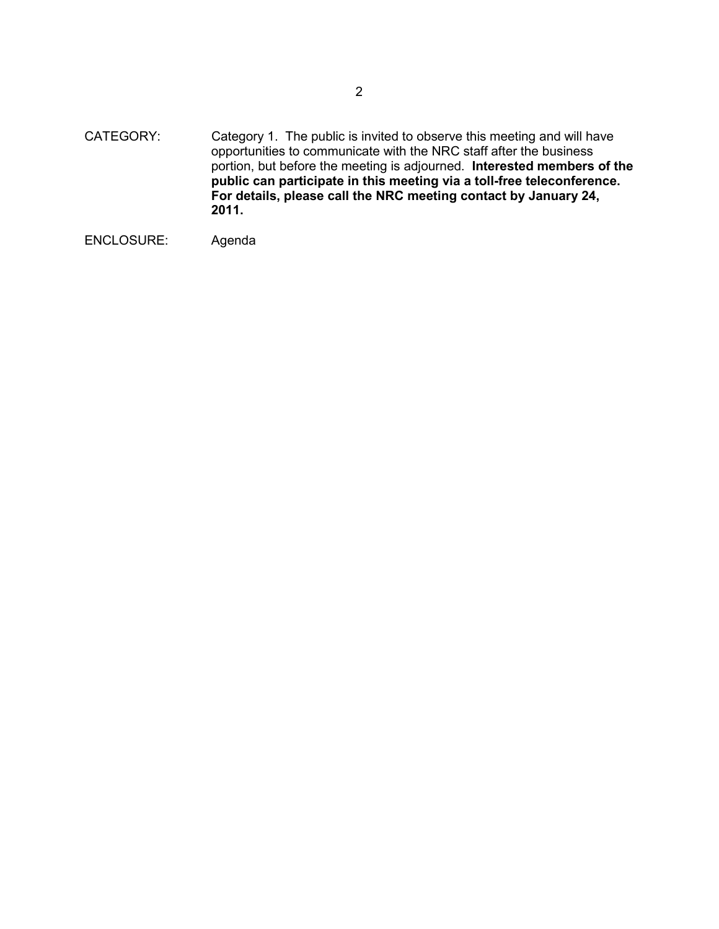CATEGORY: Category 1. The public is invited to observe this meeting and will have opportunities to communicate with the NRC staff after the business portion, but before the meeting is adjourned. **Interested members of the public can participate in this meeting via a toll-free teleconference. For details, please call the NRC meeting contact by January 24, 2011.** 

```
ENCLOSURE: Agenda
```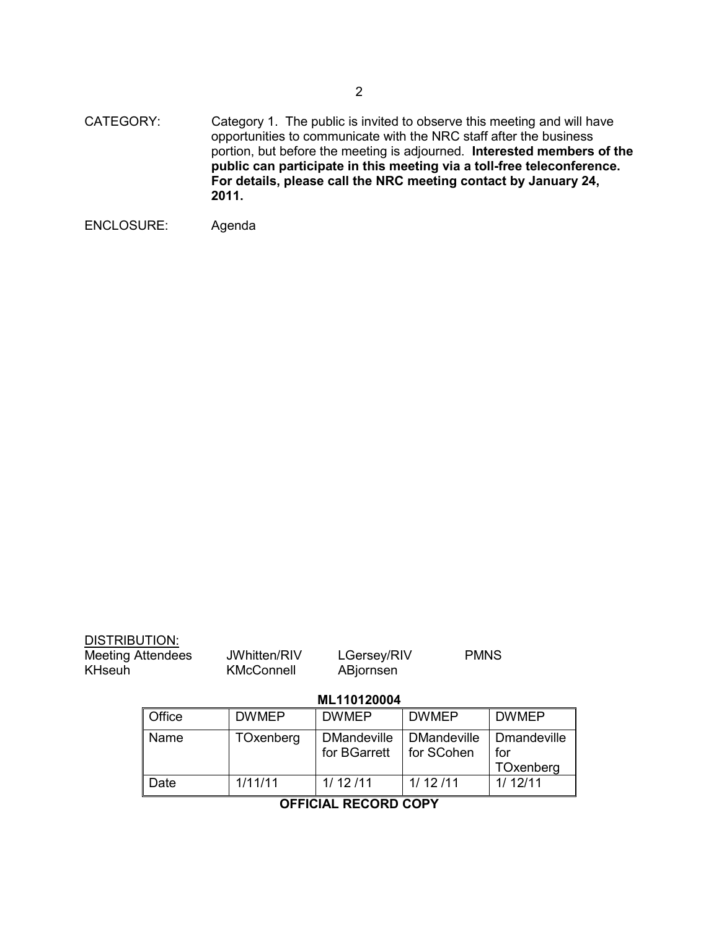CATEGORY: Category 1. The public is invited to observe this meeting and will have opportunities to communicate with the NRC staff after the business portion, but before the meeting is adjourned. **Interested members of the public can participate in this meeting via a toll-free teleconference. For details, please call the NRC meeting contact by January 24, 2011.** 

```
ENCLOSURE: Agenda
```

| <b>DISTRIBUTION:</b><br><b>Meeting Attendees</b><br><b>KHseuh</b> |             | JWhitten/RIV<br><b>KMcConnell</b> | LGersey/RIV<br>ABjornsen           |                                  | <b>PMNS</b>                            |
|-------------------------------------------------------------------|-------------|-----------------------------------|------------------------------------|----------------------------------|----------------------------------------|
|                                                                   | ML110120004 |                                   |                                    |                                  |                                        |
|                                                                   | Office      | <b>DWMEP</b>                      | <b>DWMEP</b>                       | <b>DWMEP</b>                     | <b>DWMEP</b>                           |
|                                                                   | Name        | TOxenberg                         | <b>DMandeville</b><br>for BGarrett | <b>DMandeville</b><br>for SCohen | <b>Dmandeville</b><br>for<br>TOxenberg |

**OFFICIAL RECORD COPY** 

Date 1/11/11 1/ 12 /11 1/ 12 /11 1/ 12/11